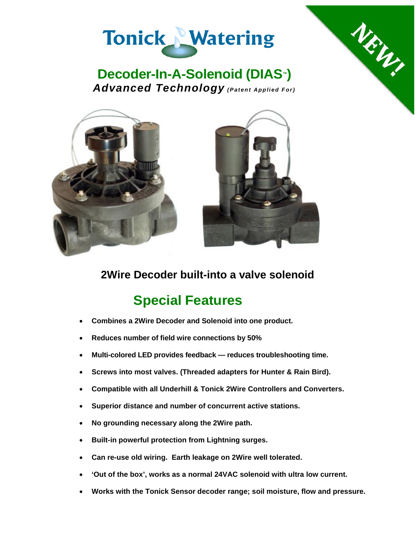



NEW



**2Wire Decoder built-into a valve solenoid**

# **Special Features**

- **Combines a 2Wire Decoder and Solenoid into one product.**
- **Reduces number of field wire connections by 50%**
- **Multi-colored LED provides feedback reduces troubleshooting time.**
- **Screws into most valves. (Threaded adapters for Hunter & Rain Bird).**
- **Compatible with all Underhill & Tonick 2Wire Controllers and Converters.**
- **Superior distance and number of concurrent active stations.**
- **No grounding necessary along the 2Wire path.**
- **Built-in powerful protection from Lightning surges.**
- **Can re-use old wiring. Earth leakage on 2Wire well tolerated.**
- **'Out of the box', works as a normal 24VAC solenoid with ultra low current.**
- **Works with the Tonick Sensor decoder range; soil moisture, flow and pressure.**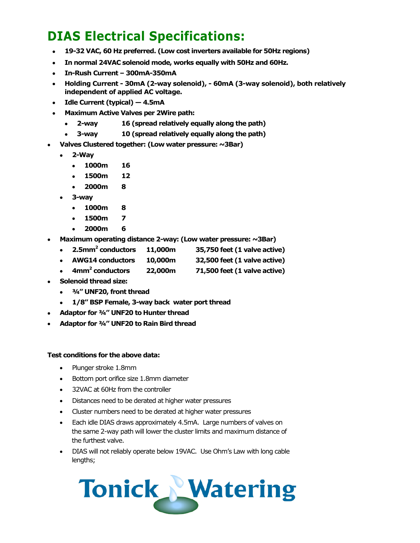## **DIAS Electrical Specifications:**

- **19-32 VAC, 60 Hz preferred. (Low cost inverters available for 50Hz regions)**
- **In normal 24VAC solenoid mode, works equally with 50Hz and 60Hz.**
- **In-Rush Current 300mA-350mA**
- **Holding Current 30mA (2-way solenoid), 60mA (3-way solenoid), both relatively independent of applied AC voltage.**
- **Idle Current (typical) 4.5mA**
- **Maximum Active Valves per 2Wire path:**
	- **2-way 16 (spread relatively equally along the path)**
	- **3-way 10 (spread relatively equally along the path)**
- **Valves Clustered together: (Low water pressure: ~3Bar)**
	- **2-Way**
		- **1000m 16**
		- **1500m 12**
		- **2000m 8**
	- **3-way**
		- **1000m 8**
		- **1500m 7**
		- **2000m 6**
- **Maximum operating distance 2-way: (Low water pressure: ~3Bar)**
	- **2.5mm<sup>2</sup> conductors 11,000m 35,750 feet (1 valve active)**
	- **AWG14 conductors 10,000m 32,500 feet (1 valve active)**
	- **4mm<sup>2</sup> conductors 22,000m 71,500 feet (1 valve active)**
- **Solenoid thread size:**
	- **¾" UNF20, front thread**
	- **1/8" BSP Female, 3-way back water port thread**
- **Adaptor for ¾" UNF20 to Hunter thread**
- **Adaptor for ¾" UNF20 to Rain Bird thread**

#### **Test conditions for the above data:**

- Plunger stroke 1.8mm
- Bottom port orifice size 1.8mm diameter
- 32VAC at 60Hz from the controller
- Distances need to be derated at higher water pressures
- Cluster numbers need to be derated at higher water pressures
- Each idle DIAS draws approximately 4.5mA. Large numbers of valves on the same 2-way path will lower the cluster limits and maximum distance of the furthest valve.
- DIAS will not reliably operate below 19VAC. Use Ohm's Law with long cable lengths;

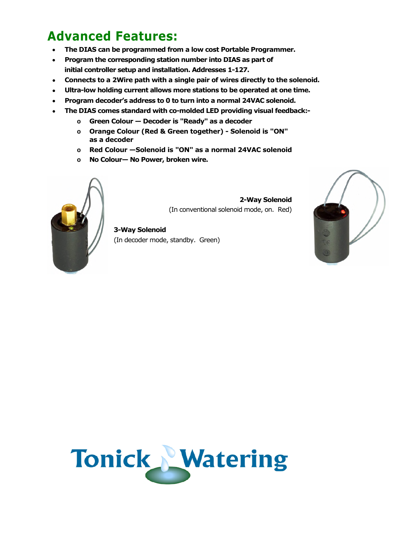## **Advanced Features:**

- **The DIAS can be programmed from a low cost Portable Programmer.**
- **Program the corresponding station number into DIAS as part of initial controller setup and installation. Addresses 1-127.**
- **Connects to a 2Wire path with a single pair of wires directly to the solenoid.**
- **Ultra-low holding current allows more stations to be operated at one time.**
- **Program decoder's address to 0 to turn into a normal 24VAC solenoid.**
- **The DIAS comes standard with co-molded LED providing visual feedback:**
	- **o Green Colour Decoder is "Ready" as a decoder**
	- **o Orange Colour (Red & Green together) Solenoid is "ON" as a decoder**
	- **o Red Colour —Solenoid is "ON" as a normal 24VAC solenoid**
	- **o No Colour— No Power, broken wire.**



**2-Way Solenoid** (In conventional solenoid mode, on. Red)

**3-Way Solenoid** (In decoder mode, standby. Green)



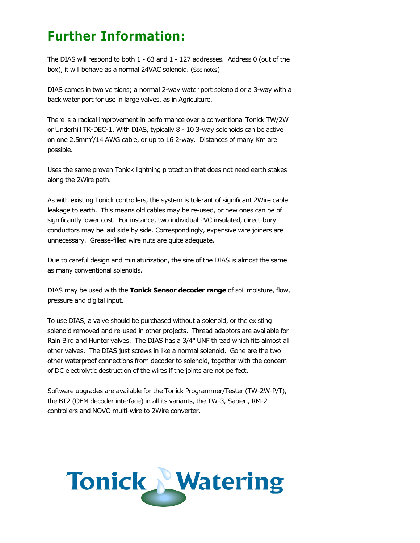### **Further Information:**

The DIAS will respond to both 1 - 63 and 1 - 127 addresses. Address 0 (out of the box), it will behave as a normal 24VAC solenoid. (See notes)

DIAS comes in two versions; a normal 2-way water port solenoid or a 3-way with a back water port for use in large valves, as in Agriculture.

There is a radical improvement in performance over a conventional Tonick TW/2W or Underhill TK-DEC-1. With DIAS, typically 8 - 10 3-way solenoids can be active on one 2.5mm<sup>2</sup>/14 AWG cable, or up to 16 2-way. Distances of many Km are possible.

Uses the same proven Tonick lightning protection that does not need earth stakes along the 2Wire path.

As with existing Tonick controllers, the system is tolerant of significant 2Wire cable leakage to earth. This means old cables may be re-used, or new ones can be of significantly lower cost. For instance, two individual PVC insulated, direct-bury conductors may be laid side by side. Correspondingly, expensive wire joiners are unnecessary. Grease-filled wire nuts are quite adequate.

Due to careful design and miniaturization, the size of the DIAS is almost the same as many conventional solenoids.

DIAS may be used with the **Tonick Sensor decoder range** of soil moisture, flow, pressure and digital input.

To use DIAS, a valve should be purchased without a solenoid, or the existing solenoid removed and re-used in other projects. Thread adaptors are available for Rain Bird and Hunter valves. The DIAS has a 3/4" UNF thread which fits almost all other valves. The DIAS just screws in like a normal solenoid. Gone are the two other waterproof connections from decoder to solenoid, together with the concern of DC electrolytic destruction of the wires if the joints are not perfect.

Software upgrades are available for the Tonick Programmer/Tester (TW-2W-P/T), the BT2 (OEM decoder interface) in all its variants, the TW-3, Sapien, RM-2 controllers and NOVO multi-wire to 2Wire converter.